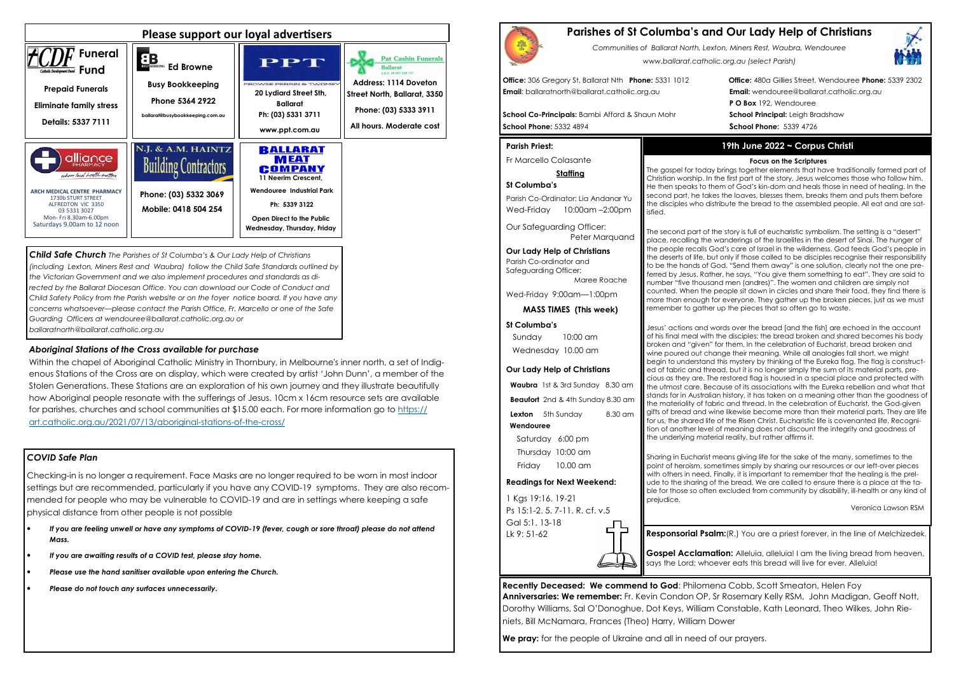## *COVID Safe Plan*

Checking-in is no longer a requirement. Face Masks are no longer required to be worn in most indoor settings but are recommended, particularly if you have any COVID-19 symptoms. They are also recommended for people who may be vulnerable to COVID-19 and are in settings where keeping a safe physical distance from other people is not possible

- *If you are feeling unwell or have any symptoms of COVID-19 (fever, cough or sore throat) please do not attend Mass.*
- *If you are awaiting results of a COVID test, please stay home.*
- *Please use the hand sanitiser available upon entering the Church.*
- *Please do not touch any surfaces unnecessarily.*





*Child Safe Church The Parishes of St Columba's & Our Lady Help of Christians (including Lexton, Miners Rest and Waubra) follow the Child Safe Standards outlined by the Victorian Government and we also implement procedures and standards as di*rected by the Ballarat Diocesan Office. You can download our Code of Conduct and *Child Safety Policy from the Parish website or on the foyer notice board. If you have any concerns whatsoever—please contact the Parish Office, Fr. Marcello or one of the Safe Guarding Officers at wendouree@ballarat.catholic.org.au or ballaratnorth@ballarat.catholic.org.au* 

Parish Co-Ordinator: Lia Andanar Yu Wed-Friday 10:00am -2:00pm

## *Aboriginal Stations of the Cross available for purchase*

 Within the chapel of Aboriginal Catholic Ministry in Thornbury, in Melbourne's inner north, a set of Indigenous Stations of the Cross are on display, which were created by artist 'John Dunn', a member of the Stolen Generations. These Stations are an exploration of his own journey and they illustrate beautifully how Aboriginal people resonate with the sufferings of Jesus. 10cm x 16cm resource sets are available for parishes, churches and school communities at \$15.00 each. For more information go to https://art.catholic.org.au/2021/07/13/aboriginal-stations-of-the-cross/

# **Parishes of St Columba's and Our Lady Help of Christians**

*Communities of Ballarat North, Lexton, Miners Rest, Waubra, Wendouree www.ballarat.catholic.org.au (select Parish)* 

**Office:** 306 Gregory St, Ballarat Nth **Phone:** 5331 1012 **Office:** 480a Gillies Street, Wendouree **Phone:** 5339 2302**P O Box** 192, Wendouree

**Email**: ballaratnorth@ballarat.catholic.org.au **Email:** wendouree@ballarat.catholic.org.au

**School Co-Principals:** Bambi Afford & Shaun Mohr **School Principal:** Leigh Bradshaw **School Phone:** 5332 4894 **School Phone:** 5339 4726

#### **Parish Priest:**

Fr Marcello Colasante

### **Staffing**

### **St Columba's**

Our Safeguarding Officer: Peter Marquand

**Our Lady Help of Christians**

Parish Co-ordinator and Safeguarding Officer: Maree Roache

Wed-Friday 9:00am—1:00pm

**MASS TIMES (This week)**

### **St Columba's**

 Sunday 10:00 am Wednesday 10.00 am

#### **Our Lady Help of Christians**

**Waubra** 1st & 3rd Sunday 8.30 am

**Beaufort** 2nd & 4th Sunday 8.30 am

**Lexton** 5th Sunday 8.30 am

#### **Wendouree**

Saturday 6:00 pm Thursday 10:00 am Friday 10.00 am

> **Gospel Acclamation:** Alleluia, alleluia! I am the living bread from heaven, says the Lord; whoever eats this bread will live for ever. Alleluia!

#### **Readings for Next Weekend:**

1 Kgs 19:16. 19-21 Ps 15:1-2. 5. 7-11. R. cf. v.5 Gal 5:1. 13-18 Lk 9: 51-62

**Recently Deceased: We commend to God**: Philomena Cobb, Scott Smeaton, Helen Foy **Anniversaries: We remember:** Fr. Kevin Condon OP, Sr Rosemary Kelly RSM, John Madigan, Geoff Nott, Dorothy Williams, Sal O'Donoghue, Dot Keys, William Constable, Kath Leonard, Theo Wilkes, John Rieniets, Bill McNamara, Frances (Theo) Harry, William Dower

**We pray:** for the people of Ukraine and all in need of our prayers.

## **19th June 2022 ~ Corpus Christi**

#### **Focus on the Scriptures**

 The gospel for today brings together elements that have traditionally formed part of Christian worship. In the first part of the story, Jesus welcomes those who follow him. He then speaks to them of God's kin-dom and heals those in need of healing. In the second part, he takes the loaves, blesses them, breaks them and puts them before the disciples who distribute the bread to the assembled people. All eat and are satisfied.

The second part of the story is full of eucharistic symbolism. The setting is a "desert" place, recalling the wanderings of the Israelites in the desert of Sinai. The hunger of the people recalls God's care of Israel in the wilderness. God feeds God's people in the deserts of life, but only if those called to be disciples recognise their responsibility to be the hands of God. "Send them away" is one solution, clearly not the one preferred by Jesus. Rather, he says, "You give them something to eat". They are said to number "five thousand men (andres)". The women and children are simply not counted. When the people sit down in circles and share their food, they find there is more than enough for everyone. They gather up the broken pieces, just as we must remember to gather up the pieces that so often go to waste.



Jesus' actions and words over the bread [and the fish] are echoed in the account of his final meal with the disciples: the bread broken and shared becomes his body broken and "given" for them. In the celebration of Eucharist, bread broken and wine poured out change their meaning. While all analogies fall short, we might begin to understand this mystery by thinking of the Eureka flag. The flag is constructed of fabric and thread, but it is no longer simply the sum of its material parts, precious as they are. The restored flag is housed in a special place and protected with the utmost care. Because of its associations with the Eureka rebellion and what that stands for in Australian history, it has taken on a meaning other than the goodness of the materiality of fabric and thread. In the celebration of Eucharist, the God-given gifts of bread and wine likewise become more than their material parts. They are life for us, the shared life of the Risen Christ. Eucharistic life is covenanted life. Recognition of another level of meaning does not discount the integrity and goodness of the underlying material reality, but rather affirms it.

**n:**(R.) You are a priest forever, in the line of Melchizedek.

Sharing in Eucharist means giving life for the sake of the many, sometimes to the point of heroism, sometimes simply by sharing our resources or our left-over pieces with others in need. Finally, it is important to remember that the healing is the prelude to the sharing of the bread. We are called to ensure there is a place at the table for those so often excluded from community by disability, ill-health or any kind of prejudice. Veronica Lawson RSM

|  |  |  | esponsorial Psaln? |  |  |  |  |
|--|--|--|--------------------|--|--|--|--|
|  |  |  | .                  |  |  |  |  |